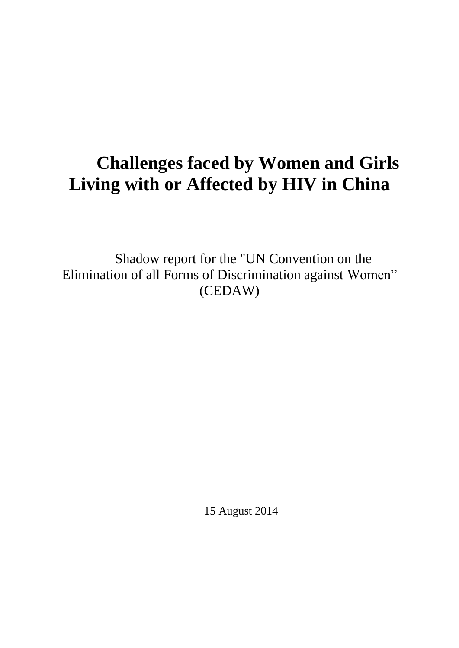# **Challenges faced by Women and Girls Living with or Affected by HIV in China**

Shadow report for the "UN Convention on the Elimination of all Forms of Discrimination against Women" (CEDAW)

15 August 2014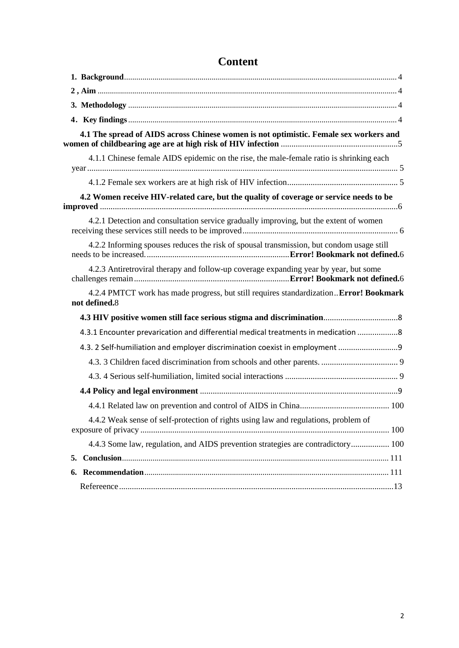|               | 4.1 The spread of AIDS across Chinese women is not optimistic. Female sex workers and    |
|---------------|------------------------------------------------------------------------------------------|
|               | 4.1.1 Chinese female AIDS epidemic on the rise, the male-female ratio is shrinking each  |
|               |                                                                                          |
|               | 4.2 Women receive HIV-related care, but the quality of coverage or service needs to be   |
|               | 4.2.1 Detection and consultation service gradually improving, but the extent of women    |
|               | 4.2.2 Informing spouses reduces the risk of spousal transmission, but condom usage still |
|               | 4.2.3 Antiretroviral therapy and follow-up coverage expanding year by year, but some     |
| not defined.8 | 4.2.4 PMTCT work has made progress, but still requires standardizationError! Bookmark    |
|               |                                                                                          |
|               | 4.3.1 Encounter prevarication and differential medical treatments in medication  8       |
|               | 4.3. 2 Self-humiliation and employer discrimination coexist in employment 9              |
|               |                                                                                          |
|               |                                                                                          |
|               |                                                                                          |
|               |                                                                                          |
|               | 4.4.2 Weak sense of self-protection of rights using law and regulations, problem of      |
|               | 4.4.3 Some law, regulation, and AIDS prevention strategies are contradictory 100         |
|               |                                                                                          |
|               |                                                                                          |
|               |                                                                                          |

# **Content**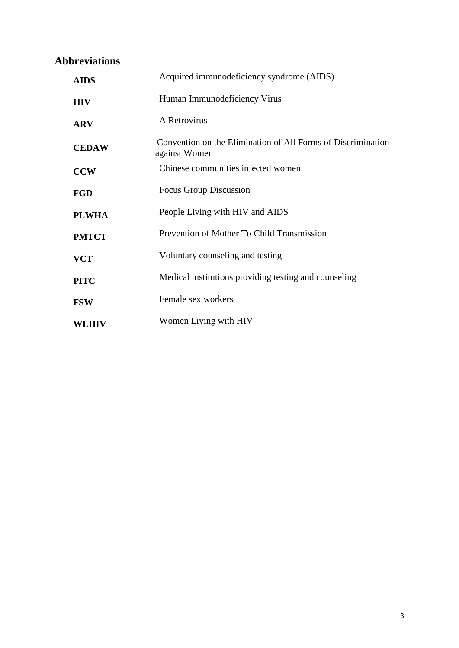# **Abbreviations**

<span id="page-2-0"></span>

| <b>AIDS</b>  | Acquired immunodeficiency syndrome (AIDS)                                     |
|--------------|-------------------------------------------------------------------------------|
| <b>HIV</b>   | Human Immunodeficiency Virus                                                  |
| <b>ARV</b>   | A Retrovirus                                                                  |
| <b>CEDAW</b> | Convention on the Elimination of All Forms of Discrimination<br>against Women |
| <b>CCW</b>   | Chinese communities infected women                                            |
| <b>FGD</b>   | Focus Group Discussion                                                        |
| <b>PLWHA</b> | People Living with HIV and AIDS                                               |
| <b>PMTCT</b> | Prevention of Mother To Child Transmission                                    |
| <b>VCT</b>   | Voluntary counseling and testing                                              |
| <b>PITC</b>  | Medical institutions providing testing and counseling                         |
| <b>FSW</b>   | Female sex workers                                                            |
| WLHIV        | Women Living with HIV                                                         |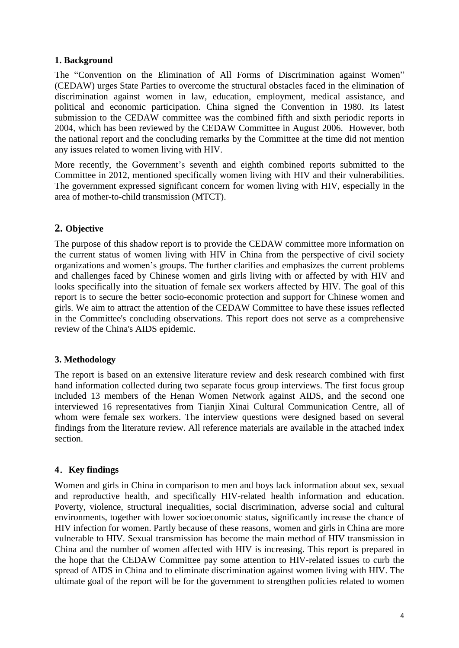# **1. Background**

The "Convention on the Elimination of All Forms of Discrimination against Women" (CEDAW) urges State Parties to overcome the structural obstacles faced in the elimination of discrimination against women in law, education, employment, medical assistance, and political and economic participation. China signed the Convention in 1980. Its latest submission to the CEDAW committee was the combined fifth and sixth periodic reports in 2004, which has been reviewed by the CEDAW Committee in August 2006. However, both the national report and the concluding remarks by the Committee at the time did not mention any issues related to women living with HIV.

More recently, the Government's seventh and eighth combined reports submitted to the Committee in 2012, mentioned specifically women living with HIV and their vulnerabilities. The government expressed significant concern for women living with HIV, especially in the area of mother-to-child transmission (MTCT).

# <span id="page-3-0"></span>**2. Objective**

The purpose of this shadow report is to provide the CEDAW committee more information on the current status of women living with HIV in China from the perspective of civil society organizations and women's groups. The further clarifies and emphasizes the current problems and challenges faced by Chinese women and girls living with or affected by with HIV and looks specifically into the situation of female sex workers affected by HIV. The goal of this report is to secure the better socio-economic protection and support for Chinese women and girls. We aim to attract the attention of the CEDAW Committee to have these issues reflected in the Committee's concluding observations. This report does not serve as a comprehensive review of the China's AIDS epidemic.

# <span id="page-3-1"></span>**3. Methodology**

The report is based on an extensive literature review and desk research combined with first hand information collected during two separate focus group interviews. The first focus group included 13 members of the Henan Women Network against AIDS, and the second one interviewed 16 representatives from Tianjin Xinai Cultural Communication Centre, all of whom were female sex workers. The interview questions were designed based on several findings from the literature review. All reference materials are available in the attached index section.

# <span id="page-3-2"></span>**4**.**Key findings**

Women and girls in China in comparison to men and boys lack information about sex, sexual and reproductive health, and specifically HIV-related health information and education. Poverty, violence, structural inequalities, social discrimination, adverse social and cultural environments, together with lower socioeconomic status, significantly increase the chance of HIV infection for women. Partly because of these reasons, women and girls in China are more vulnerable to HIV. Sexual transmission has become the main method of HIV transmission in China and the number of women affected with HIV is increasing. This report is prepared in the hope that the CEDAW Committee pay some attention to HIV-related issues to curb the spread of AIDS in China and to eliminate discrimination against women living with HIV. The ultimate goal of the report will be for the government to strengthen policies related to women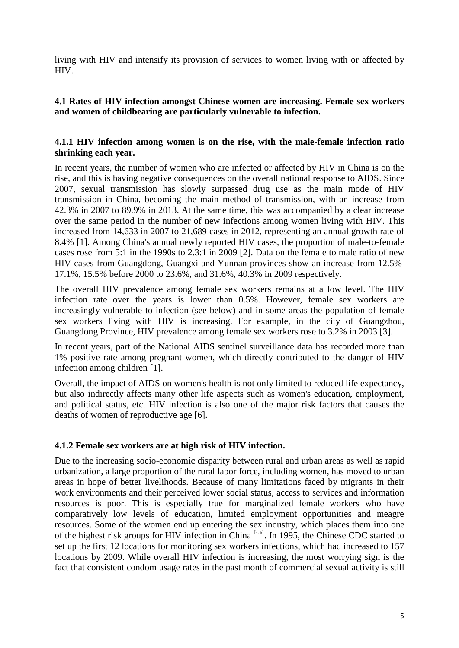living with HIV and intensify its provision of services to women living with or affected by HIV.

# <span id="page-4-0"></span>**4.1 Rates of HIV infection amongst Chinese women are increasing. Female sex workers and women of childbearing are particularly vulnerable to infection.**

# <span id="page-4-1"></span>**4.1.1 HIV infection among women is on the rise, with the male-female infection ratio shrinking each year.**

In recent years, the number of women who are infected or affected by HIV in China is on the rise, and this is having negative consequences on the overall national response to AIDS. Since 2007, sexual transmission has slowly surpassed drug use as the main mode of HIV transmission in China, becoming the main method of transmission, with an increase from 42.3% in 2007 to 89.9% in 2013. At the same time, this was accompanied by a clear increase over the same period in the number of new infections among women living with HIV. This increased from 14,633 in 2007 to 21,689 cases in 2012, representing an annual growth rate of 8.4% [1]. Among China's annual newly reported HIV cases, the proportion of male-to-female cases rose from 5:1 in the 1990s to 2.3:1 in 2009 [2]. Data on the female to male ratio of new HIV cases from Guangdong, Guangxi and Yunnan provinces show an increase from 12.5% 17.1%, 15.5% before 2000 to 23.6%, and 31.6%, 40.3% in 2009 respectively.

The overall HIV prevalence among female sex workers remains at a low level. The HIV infection rate over the years is lower than 0.5%. However, female sex workers are increasingly vulnerable to infection (see below) and in some areas the population of female sex workers living with HIV is increasing. For example, in the city of Guangzhou, Guangdong Province, HIV prevalence among female sex workers rose to 3.2% in 2003 [3].

In recent years, part of the National AIDS sentinel surveillance data has recorded more than 1% positive rate among pregnant women, which directly contributed to the danger of HIV infection among children [1].

Overall, the impact of AIDS on women's health is not only limited to reduced life expectancy, but also indirectly affects many other life aspects such as women's education, employment, and political status, etc. HIV infection is also one of the major risk factors that causes the deaths of women of reproductive age [6].

# <span id="page-4-2"></span>**4.1.2 Female sex workers are at high risk of HIV infection.**

Due to the increasing socio-economic disparity between rural and urban areas as well as rapid urbanization, a large proportion of the rural labor force, including women, has moved to urban areas in hope of better livelihoods. Because of many limitations faced by migrants in their work environments and their perceived lower social status, access to services and information resources is poor. This is especially true for marginalized female workers who have comparatively low levels of education, limited employment opportunities and meagre resources. Some of the women end up entering the sex industry, which places them into one of the highest risk groups for HIV infection in China [4,5]. In 1995, the Chinese CDC started to set up the first 12 locations for monitoring sex workers infections, which had increased to 157 locations by 2009. While overall HIV infection is increasing, the most worrying sign is the fact that consistent condom usage rates in the past month of commercial sexual activity is still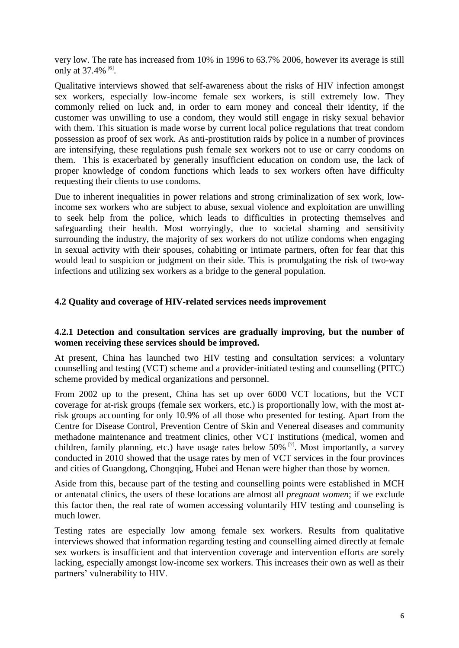very low. The rate has increased from 10% in 1996 to 63.7% 2006, however its average is still only at 37.4% <sup>[6]</sup>.

Qualitative interviews showed that self-awareness about the risks of HIV infection amongst sex workers, especially low-income female sex workers, is still extremely low. They commonly relied on luck and, in order to earn money and conceal their identity, if the customer was unwilling to use a condom, they would still engage in risky sexual behavior with them. This situation is made worse by current local police regulations that treat condom possession as proof of sex work. As anti-prostitution raids by police in a number of provinces are intensifying, these regulations push female sex workers not to use or carry condoms on them. This is exacerbated by generally insufficient education on condom use, the lack of proper knowledge of condom functions which leads to sex workers often have difficulty requesting their clients to use condoms.

Due to inherent inequalities in power relations and strong criminalization of sex work, lowincome sex workers who are subject to abuse, sexual violence and exploitation are unwilling to seek help from the police, which leads to difficulties in protecting themselves and safeguarding their health. Most worryingly, due to societal shaming and sensitivity surrounding the industry, the majority of sex workers do not utilize condoms when engaging in sexual activity with their spouses, cohabiting or intimate partners, often for fear that this would lead to suspicion or judgment on their side. This is promulgating the risk of two-way infections and utilizing sex workers as a bridge to the general population.

# <span id="page-5-1"></span><span id="page-5-0"></span>**4.2 Quality and coverage of HIV-related services needs improvement**

# **4.2.1 Detection and consultation services are gradually improving, but the number of women receiving these services should be improved.**

At present, China has launched two HIV testing and consultation services: a voluntary counselling and testing (VCT) scheme and a provider-initiated testing and counselling (PITC) scheme provided by medical organizations and personnel.

From 2002 up to the present, China has set up over 6000 VCT locations, but the VCT coverage for at-risk groups (female sex workers, etc.) is proportionally low, with the most atrisk groups accounting for only 10.9% of all those who presented for testing. Apart from the Centre for Disease Control, Prevention Centre of Skin and Venereal diseases and community methadone maintenance and treatment clinics, other VCT institutions (medical, women and children, family planning, etc.) have usage rates below 50% <sup>[7]</sup>. Most importantly, a survey conducted in 2010 showed that the usage rates by men of VCT services in the four provinces and cities of Guangdong, Chongqing, Hubei and Henan were higher than those by women.

Aside from this, because part of the testing and counselling points were established in MCH or antenatal clinics, the users of these locations are almost all *pregnant women*; if we exclude this factor then, the real rate of women accessing voluntarily HIV testing and counseling is much lower.

Testing rates are especially low among female sex workers. Results from qualitative interviews showed that information regarding testing and counselling aimed directly at female sex workers is insufficient and that intervention coverage and intervention efforts are sorely lacking, especially amongst low-income sex workers. This increases their own as well as their partners' vulnerability to HIV.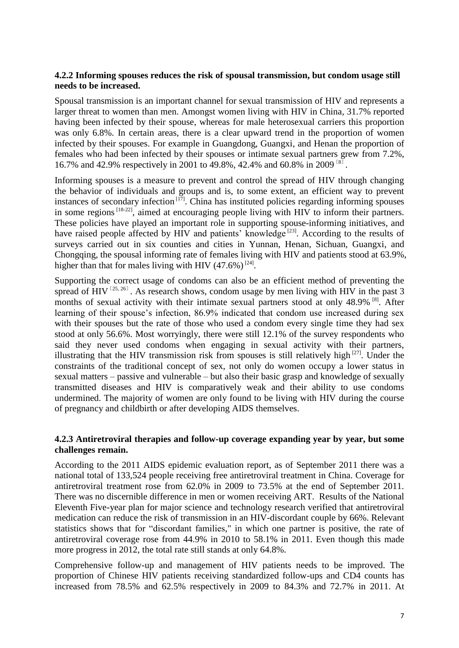# **4.2.2 Informing spouses reduces the risk of spousal transmission, but condom usage still needs to be increased.**

Spousal transmission is an important channel for sexual transmission of HIV and represents a larger threat to women than men. Amongst women living with HIV in China, 31.7% reported having been infected by their spouse, whereas for male heterosexual carriers this proportion was only 6.8%. In certain areas, there is a clear upward trend in the proportion of women infected by their spouses. For example in Guangdong, Guangxi, and Henan the proportion of females who had been infected by their spouses or intimate sexual partners grew from 7.2%, 16.7% and 42.9% respectively in 2001 to 49.8%, 42.4% and 60.8% in 2009<sup>[8]</sup>.

Informing spouses is a measure to prevent and control the spread of HIV through changing the behavior of individuals and groups and is, to some extent, an efficient way to prevent instances of secondary infection<sup>[17]</sup>. China has instituted policies regarding informing spouses in some regions<sup> $[18-22]$ </sup>, aimed at encouraging people living with HIV to inform their partners. These policies have played an important role in supporting spouse-informing initiatives, and have raised people affected by HIV and patients' knowledge  $[23]$ . According to the results of surveys carried out in six counties and cities in Yunnan, Henan, Sichuan, Guangxi, and Chongqing, the spousal informing rate of females living with HIV and patients stood at 63.9%, higher than that for males living with HIV  $(47.6\%)^{[24]}$ .

Supporting the correct usage of condoms can also be an efficient method of preventing the spread of HIV<sup>[25, 26]</sup>. As research shows, condom usage by men living with HIV in the past 3 months of sexual activity with their intimate sexual partners stood at only 48.9% <sup>[8]</sup>. After learning of their spouse's infection, 86.9% indicated that condom use increased during sex with their spouses but the rate of those who used a condom every single time they had sex stood at only 56.6%. Most worryingly, there were still 12.1% of the survey respondents who said they never used condoms when engaging in sexual activity with their partners, illustrating that the HIV transmission risk from spouses is still relatively high  $[27]$ . Under the constraints of the traditional concept of sex, not only do women occupy a lower status in sexual matters – passive and vulnerable – but also their basic grasp and knowledge of sexually transmitted diseases and HIV is comparatively weak and their ability to use condoms undermined. The majority of women are only found to be living with HIV during the course of pregnancy and childbirth or after developing AIDS themselves.

# **4.2.3 Antiretroviral therapies and follow-up coverage expanding year by year, but some challenges remain.**

According to the 2011 AIDS epidemic evaluation report, as of September 2011 there was a national total of 133,524 people receiving free antiretroviral treatment in China. Coverage for antiretroviral treatment rose from 62.0% in 2009 to 73.5% at the end of September 2011. There was no discernible difference in men or women receiving ART. Results of the National Eleventh Five-year plan for major science and technology research verified that antiretroviral medication can reduce the risk of transmission in an HIV-discordant couple by 66%. Relevant statistics shows that for "discordant families," in which one partner is positive, the rate of antiretroviral coverage rose from 44.9% in 2010 to 58.1% in 2011. Even though this made more progress in 2012, the total rate still stands at only 64.8%.

Comprehensive follow-up and management of HIV patients needs to be improved. The proportion of Chinese HIV patients receiving standardized follow-ups and CD4 counts has increased from 78.5% and 62.5% respectively in 2009 to 84.3% and 72.7% in 2011. At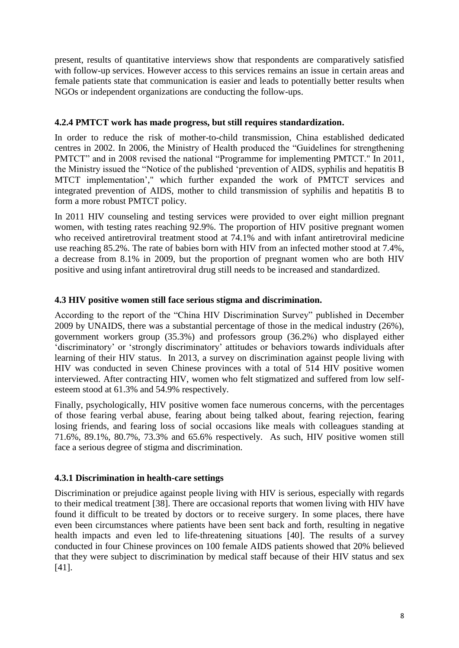present, results of quantitative interviews show that respondents are comparatively satisfied with follow-up services. However access to this services remains an issue in certain areas and female patients state that communication is easier and leads to potentially better results when NGOs or independent organizations are conducting the follow-ups.

# **4.2.4 PMTCT work has made progress, but still requires standardization.**

In order to reduce the risk of mother-to-child transmission, China established dedicated centres in 2002. In 2006, the Ministry of Health produced the "Guidelines for strengthening PMTCT" and in 2008 revised the national "Programme for implementing PMTCT." In 2011, the Ministry issued the "Notice of the published 'prevention of AIDS, syphilis and hepatitis B MTCT implementation'," which further expanded the work of PMTCT services and integrated prevention of AIDS, mother to child transmission of syphilis and hepatitis B to form a more robust PMTCT policy.

In 2011 HIV counseling and testing services were provided to over eight million pregnant women, with testing rates reaching 92.9%. The proportion of HIV positive pregnant women who received antiretroviral treatment stood at 74.1% and with infant antiretroviral medicine use reaching 85.2%. The rate of babies born with HIV from an infected mother stood at 7.4%, a decrease from 8.1% in 2009, but the proportion of pregnant women who are both HIV positive and using infant antiretroviral drug still needs to be increased and standardized.

# **4.3 HIV positive women still face serious stigma and discrimination.**

According to the report of the "China HIV Discrimination Survey" published in December 2009 by UNAIDS, there was a substantial percentage of those in the medical industry (26%), government workers group (35.3%) and professors group (36.2%) who displayed either 'discriminatory' or 'strongly discriminatory' attitudes or behaviors towards individuals after learning of their HIV status. In 2013, a survey on discrimination against people living with HIV was conducted in seven Chinese provinces with a total of 514 HIV positive women interviewed. After contracting HIV, women who felt stigmatized and suffered from low selfesteem stood at 61.3% and 54.9% respectively.

Finally, psychologically, HIV positive women face numerous concerns, with the percentages of those fearing verbal abuse, fearing about being talked about, fearing rejection, fearing losing friends, and fearing loss of social occasions like meals with colleagues standing at 71.6%, 89.1%, 80.7%, 73.3% and 65.6% respectively. As such, HIV positive women still face a serious degree of stigma and discrimination.

# **4.3.1 Discrimination in health-care settings**

Discrimination or prejudice against people living with HIV is serious, especially with regards to their medical treatment [38]. There are occasional reports that women living with HIV have found it difficult to be treated by doctors or to receive surgery. In some places, there have even been circumstances where patients have been sent back and forth, resulting in negative health impacts and even led to life-threatening situations [40]. The results of a survey conducted in four Chinese provinces on 100 female AIDS patients showed that 20% believed that they were subject to discrimination by medical staff because of their HIV status and sex [41].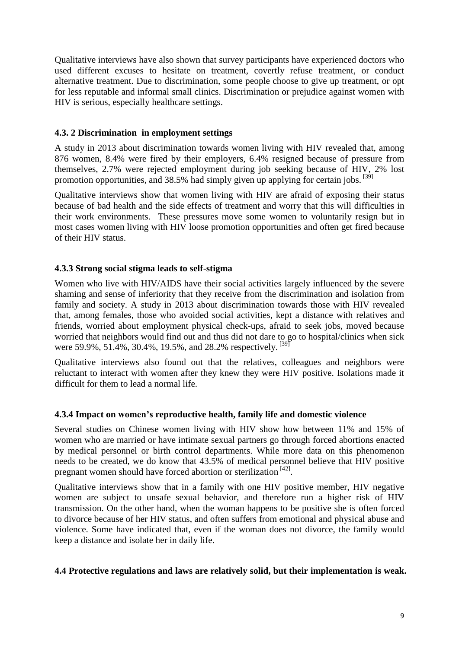Qualitative interviews have also shown that survey participants have experienced doctors who used different excuses to hesitate on treatment, covertly refuse treatment, or conduct alternative treatment. Due to discrimination, some people choose to give up treatment, or opt for less reputable and informal small clinics. Discrimination or prejudice against women with HIV is serious, especially healthcare settings.

# <span id="page-8-0"></span>**4.3. 2 Discrimination in employment settings**

A study in 2013 about discrimination towards women living with HIV revealed that, among 876 women, 8.4% were fired by their employers, 6.4% resigned because of pressure from themselves, 2.7% were rejected employment during job seeking because of HIV, 2% lost promotion opportunities, and 38.5% had simply given up applying for certain jobs.  $^{[39]}$ 

Qualitative interviews show that women living with HIV are afraid of exposing their status because of bad health and the side effects of treatment and worry that this will difficulties in their work environments. These pressures move some women to voluntarily resign but in most cases women living with HIV loose promotion opportunities and often get fired because of their HIV status.

# <span id="page-8-1"></span>**4.3.3 Strong social stigma leads to self-stigma**

Women who live with HIV/AIDS have their social activities largely influenced by the severe shaming and sense of inferiority that they receive from the discrimination and isolation from family and society. A study in 2013 about discrimination towards those with HIV revealed that, among females, those who avoided social activities, kept a distance with relatives and friends, worried about employment physical check-ups, afraid to seek jobs, moved because worried that neighbors would find out and thus did not dare to go to hospital/clinics when sick were 59.9%, 51.4%, 30.4%, 19.5%, and 28.2% respectively. <sup>[39]</sup>

Qualitative interviews also found out that the relatives, colleagues and neighbors were reluctant to interact with women after they knew they were HIV positive. Isolations made it difficult for them to lead a normal life.

#### **4.3.4 Impact on women's reproductive health, family life and domestic violence**

Several studies on Chinese women living with HIV show how between 11% and 15% of women who are married or have intimate sexual partners go through forced abortions enacted by medical personnel or birth control departments. While more data on this phenomenon needs to be created, we do know that 43.5% of medical personnel believe that HIV positive pregnant women should have forced abortion or sterilization [42].

Qualitative interviews show that in a family with one HIV positive member, HIV negative women are subject to unsafe sexual behavior, and therefore run a higher risk of HIV transmission. On the other hand, when the woman happens to be positive she is often forced to divorce because of her HIV status, and often suffers from emotional and physical abuse and violence. Some have indicated that, even if the woman does not divorce, the family would keep a distance and isolate her in daily life.

#### <span id="page-8-3"></span><span id="page-8-2"></span>**4.4 Protective regulations and laws are relatively solid, but their implementation is weak.**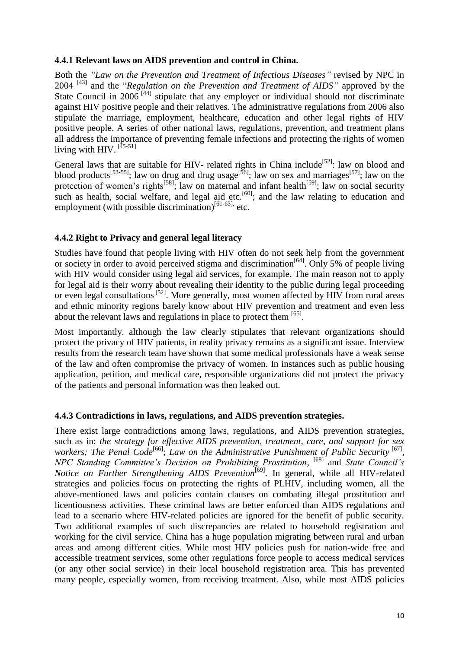#### **4.4.1 Relevant laws on AIDS prevention and control in China.**

Both the *"Law on the Prevention and Treatment of Infectious Diseases"* revised by NPC in 2004 [43] and the "*Regulation on the Prevention and Treatment of AIDS"* approved by the State Council in  $2006$ <sup>[44]</sup> stipulate that any employer or individual should not discriminate against HIV positive people and their relatives. The administrative regulations from 2006 also stipulate the marriage, employment, healthcare, education and other legal rights of HIV positive people. A series of other national laws, regulations, prevention, and treatment plans all address the importance of preventing female infections and protecting the rights of women living with HIV. <sup>[45-51]</sup>

General laws that are suitable for HIV- related rights in China include<sup>[52]</sup>: law on blood and blood products<sup>[53-55]</sup>; law on drug and drug usage<sup>[56]</sup>; law on sex and marriages<sup>[57]</sup>; law on the protection of women's rights<sup>[58]</sup>; law on maternal and infant health<sup>[59]</sup>; law on social security such as health, social welfare, and legal aid etc.<sup>[60]</sup>; and the law relating to education and employment (with possible discrimination) $[61-63]$ , etc.

# <span id="page-9-0"></span>**4.4.2 Right to Privacy and general legal literacy**

Studies have found that people living with HIV often do not seek help from the government or society in order to avoid perceived stigma and discrimination<sup>[64]</sup>. Only 5% of people living with HIV would consider using legal aid services, for example. The main reason not to apply for legal aid is their worry about revealing their identity to the public during legal proceeding or even legal consultations<sup>[52]</sup>. More generally, most women affected by HIV from rural areas and ethnic minority regions barely know about HIV prevention and treatment and even less about the relevant laws and regulations in place to protect them [65].

Most importantly. although the law clearly stipulates that relevant organizations should protect the privacy of HIV patients, in reality privacy remains as a significant issue. Interview results from the research team have shown that some medical professionals have a weak sense of the law and often compromise the privacy of women. In instances such as public housing application, petition, and medical care, responsible organizations did not protect the privacy of the patients and personal information was then leaked out.

#### <span id="page-9-1"></span>**4.4.3 Contradictions in laws, regulations, and AIDS prevention strategies.**

There exist large contradictions among laws, regulations, and AIDS prevention strategies, such as in: *the strategy for effective AIDS prevention, treatment, care, and support for sex*  workers; The Penal Code<sup>[66]</sup>; Law on the Administrative Punishment of Public Security <sup>[67]</sup>, *NPC Standing Committee's Decision on Prohibiting Prostitution,* [68] and *State Council's Notice on Further Strengthening AIDS Prevention*<sup>[69]</sup>. In general, while all HIV-related strategies and policies focus on protecting the rights of PLHIV, including women, all the above-mentioned laws and policies contain clauses on combating illegal prostitution and licentiousness activities. These criminal laws are better enforced than AIDS regulations and lead to a scenario where HIV-related policies are ignored for the benefit of public security. Two additional examples of such discrepancies are related to household registration and working for the civil service. China has a huge population migrating between rural and urban areas and among different cities. While most HIV policies push for nation-wide free and accessible treatment services, some other regulations force people to access medical services (or any other social service) in their local household registration area. This has prevented many people, especially women, from receiving treatment. Also, while most AIDS policies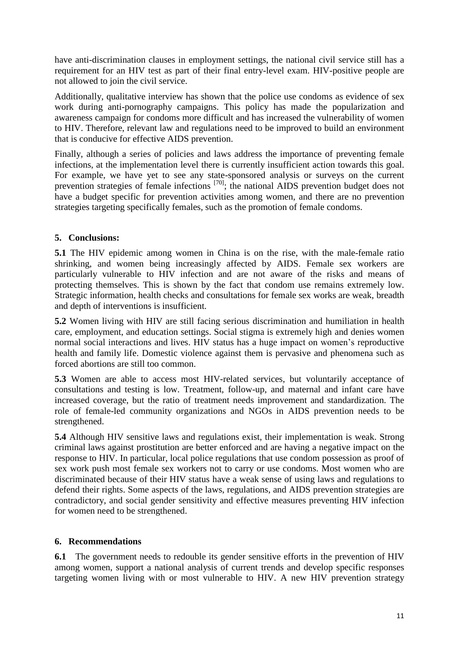have anti-discrimination clauses in employment settings, the national civil service still has a requirement for an HIV test as part of their final entry-level exam. HIV-positive people are not allowed to join the civil service.

Additionally, qualitative interview has shown that the police use condoms as evidence of sex work during anti-pornography campaigns. This policy has made the popularization and awareness campaign for condoms more difficult and has increased the vulnerability of women to HIV. Therefore, relevant law and regulations need to be improved to build an environment that is conducive for effective AIDS prevention.

Finally, although a series of policies and laws address the importance of preventing female infections, at the implementation level there is currently insufficient action towards this goal. For example, we have yet to see any state-sponsored analysis or surveys on the current prevention strategies of female infections <sup>[70]</sup>; the national AIDS prevention budget does not have a budget specific for prevention activities among women, and there are no prevention strategies targeting specifically females, such as the promotion of female condoms.

# <span id="page-10-0"></span>**5. Conclusions:**

**5.1** The HIV epidemic among women in China is on the rise, with the male-female ratio shrinking, and women being increasingly affected by AIDS. Female sex workers are particularly vulnerable to HIV infection and are not aware of the risks and means of protecting themselves. This is shown by the fact that condom use remains extremely low. Strategic information, health checks and consultations for female sex works are weak, breadth and depth of interventions is insufficient.

**5.2** Women living with HIV are still facing serious discrimination and humiliation in health care, employment, and education settings. Social stigma is extremely high and denies women normal social interactions and lives. HIV status has a huge impact on women's reproductive health and family life. Domestic violence against them is pervasive and phenomena such as forced abortions are still too common.

**5.3** Women are able to access most HIV-related services, but voluntarily acceptance of consultations and testing is low. Treatment, follow-up, and maternal and infant care have increased coverage, but the ratio of treatment needs improvement and standardization. The role of female-led community organizations and NGOs in AIDS prevention needs to be strengthened.

**5.4** Although HIV sensitive laws and regulations exist, their implementation is weak. Strong criminal laws against prostitution are better enforced and are having a negative impact on the response to HIV. In particular, local police regulations that use condom possession as proof of sex work push most female sex workers not to carry or use condoms. Most women who are discriminated because of their HIV status have a weak sense of using laws and regulations to defend their rights. Some aspects of the laws, regulations, and AIDS prevention strategies are contradictory, and social gender sensitivity and effective measures preventing HIV infection for women need to be strengthened.

# <span id="page-10-1"></span>**6. Recommendations**

**6.1** The government needs to redouble its gender sensitive efforts in the prevention of HIV among women, support a national analysis of current trends and develop specific responses targeting women living with or most vulnerable to HIV. A new HIV prevention strategy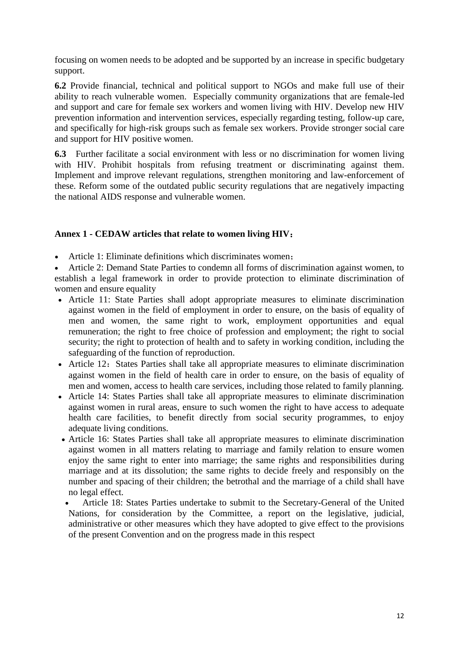focusing on women needs to be adopted and be supported by an increase in specific budgetary support.

**6.2** Provide financial, technical and political support to NGOs and make full use of their ability to reach vulnerable women. Especially community organizations that are female-led and support and care for female sex workers and women living with HIV. Develop new HIV prevention information and intervention services, especially regarding testing, follow-up care, and specifically for high-risk groups such as female sex workers. Provide stronger social care and support for HIV positive women.

**6.3** Further facilitate a social environment with less or no discrimination for women living with HIV. Prohibit hospitals from refusing treatment or discriminating against them. Implement and improve relevant regulations, strengthen monitoring and law-enforcement of these. Reform some of the outdated public security regulations that are negatively impacting the national AIDS response and vulnerable women.

# **Annex 1 - CEDAW articles that relate to women living HIV**:

Article 1: Eliminate definitions which discriminates women;

 Article 2: Demand State Parties to condemn all forms of discrimination against women, to establish a legal framework in order to provide protection to eliminate discrimination of women and ensure equality

- Article 11: State Parties shall adopt appropriate measures to eliminate discrimination against women in the field of employment in order to ensure, on the basis of equality of men and women, the same right to work, employment opportunities and equal remuneration; the right to free choice of profession and employment; the right to social security; the right to protection of health and to safety in working condition, including the safeguarding of the function of reproduction.
- Article 12: States Parties shall take all appropriate measures to eliminate discrimination against women in the field of health care in order to ensure, on the basis of equality of men and women, access to health care services, including those related to family planning.
- Article 14: States Parties shall take all appropriate measures to eliminate discrimination against women in rural areas, ensure to such women the right to have access to adequate health care facilities, to benefit directly from social security programmes, to enjoy adequate living conditions.
- Article 16: States Parties shall take all appropriate measures to eliminate discrimination against women in all matters relating to marriage and family relation to ensure women enjoy the same right to enter into marriage; the same rights and responsibilities during marriage and at its dissolution; the same rights to decide freely and responsibly on the number and spacing of their children; the betrothal and the marriage of a child shall have no legal effect.
- Article 18: States Parties undertake to submit to the Secretary-General of the United Nations, for consideration by the Committee, a report on the legislative, judicial, administrative or other measures which they have adopted to give effect to the provisions of the present Convention and on the progress made in this respect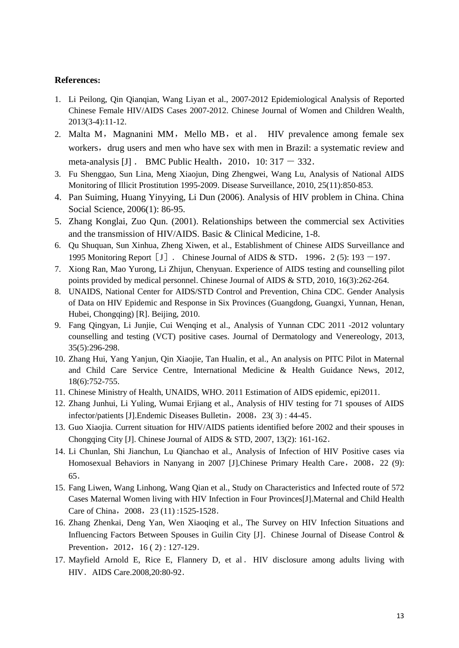#### **References:**

- 1. Li Peilong, Qin Qianqian, Wang Liyan et al., 2007-2012 Epidemiological Analysis of Reported Chinese Female HIV/AIDS Cases 2007-2012. Chinese Journal of Women and Children Wealth, 2013(3-4):11-12.
- 2. Malta M, Magnanini MM, Mello MB, et al. HIV prevalence among female sex workers, drug users and men who have sex with men in Brazil: a systematic review and meta-analysis [J] . BMC Public Health,  $2010$ ,  $10: 317 - 332$ .
- 3. Fu Shenggao, Sun Lina, Meng Xiaojun, Ding Zhengwei, Wang Lu, Analysis of National AIDS Monitoring of Illicit Prostitution 1995-2009. Disease Surveillance, 2010, 25(11):850-853.
- 4. Pan Suiming, Huang Yinyying, Li Dun (2006). Analysis of HIV problem in China. China Social Science, 2006(1): 86-95.
- 5. Zhang Konglai, Zuo Qun. (2001). Relationships between the commercial sex Activities and the transmission of HIV/AIDS. Basic & Clinical Medicine, 1-8.
- 6. Qu Shuquan, Sun Xinhua, Zheng Xiwen, et al., Establishment of Chinese AIDS Surveillance and 1995 Monitoring Report  $\begin{bmatrix} J \end{bmatrix}$ . Chinese Journal of AIDS & STD, 1996, 2 (5): 193 -197.
- 7. Xiong Ran, Mao Yurong, Li Zhijun, Chenyuan. Experience of AIDS testing and counselling pilot points provided by medical personnel. Chinese Journal of AIDS & STD, 2010, 16(3):262-264.
- 8. UNAIDS, National Center for AIDS/STD Control and Prevention, China CDC. Gender Analysis of Data on HIV Epidemic and Response in Six Provinces (Guangdong, Guangxi, Yunnan, Henan, Hubei, Chongqing) [R]. Beijing, 2010.
- 9. Fang Qingyan, Li Junjie, Cui Wenqing et al., Analysis of Yunnan CDC 2011 -2012 voluntary counselling and testing (VCT) positive cases. Journal of Dermatology and Venereology, 2013, 35(5):296-298.
- 10. Zhang Hui, Yang Yanjun, Qin Xiaojie, Tan Hualin, et al., An analysis on PITC Pilot in Maternal and Child Care Service Centre, International Medicine & Health Guidance News, 2012, 18(6):752-755.
- 11. Chinese Ministry of Health, UNAIDS, WHO. 2011 Estimation of AIDS epidemic, epi2011.
- 12. Zhang Junhui, Li Yuling, Wumai Erjiang et al., Analysis of HIV testing for 71 spouses of AIDS infector/patients [J]. Endemic Diseases Bulletin, 2008, 23(3): 44-45.
- 13. Guo Xiaojia. Current situation for HIV/AIDS patients identified before 2002 and their spouses in Chongqing City [J]. Chinese Journal of AIDS & STD, 2007, 13(2): 161-162.
- 14. Li Chunlan, Shi Jianchun, Lu Qianchao et al., Analysis of Infection of HIV Positive cases via Homosexual Behaviors in Nanyang in 2007 [J].Chinese Primary Health Care, 2008, 22 (9): 65.
- 15. Fang Liwen, Wang Linhong, Wang Qian et al., Study on Characteristics and Infected route of 572 Cases Maternal Women living with HIV Infection in Four Provinces[J].Maternal and Child Health Care of China, 2008, 23 (11) :1525-1528.
- 16. Zhang Zhenkai, Deng Yan, Wen Xiaoqing et al., The Survey on HIV Infection Situations and Influencing Factors Between Spouses in Guilin City [J]. Chinese Journal of Disease Control  $\&$ Prevention, 2012, 16 ( 2) : 127-129.
- 17. Mayfield Arnold E, Rice E, Flannery D, et al. HIV disclosure among adults living with HIV.AIDS Care.2008,20:80-92.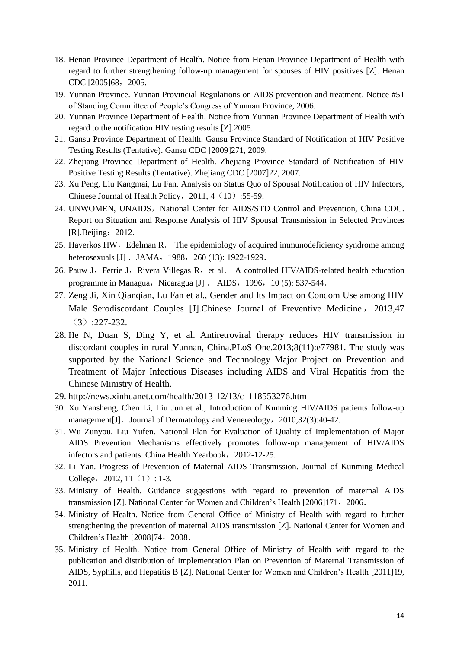- 18. Henan Province Department of Health. Notice from Henan Province Department of Health with regard to further strengthening follow-up management for spouses of HIV positives [Z]. Henan CDC [2005]68, 2005.
- 19. Yunnan Province. Yunnan Provincial Regulations on AIDS prevention and treatment. Notice #51 of Standing Committee of People's Congress of Yunnan Province, 2006.
- 20. Yunnan Province Department of Health. Notice from Yunnan Province Department of Health with regard to the notification HIV testing results [Z].2005.
- 21. Gansu Province Department of Health. Gansu Province Standard of Notification of HIV Positive Testing Results (Tentative). Gansu CDC [2009]271, 2009.
- 22. Zhejiang Province Department of Health. Zhejiang Province Standard of Notification of HIV Positive Testing Results (Tentative). Zhejiang CDC [2007]22, 2007.
- 23. Xu Peng, Liu Kangmai, Lu Fan. Analysis on Status Quo of Spousal Notification of HIV Infectors, Chinese Journal of Health Policy,  $2011, 4(10)$ : 55-59.
- 24. UNWOMEN, UNAIDS, National Center for AIDS/STD Control and Prevention, China CDC. Report on Situation and Response Analysis of HIV Spousal Transmission in Selected Provinces [R].Beijing: 2012.
- 25. Haverkos HW, Edelman R. The epidemiology of acquired immunodeficiency syndrome among heterosexuals [J] . JAMA, 1988, 260 (13): 1922-1929.
- 26. Pauw J, Ferrie J, Rivera Villegas R, et al. A controlled HIV/AIDS-related health education programme in Managua, Nicaragua  $[J]$  . AIDS, 1996, 10 (5): 537-544.
- 27. Zeng Ji, Xin Qianqian, Lu Fan et al., Gender and Its Impact on Condom Use among HIV Male Serodiscordant Couples [J].Chinese Journal of Preventive Medicine , 2013,47 (3):227-232.
- 28. He N, Duan S, Ding Y, et al. Antiretroviral therapy reduces HIV transmission in discordant couples in rural Yunnan, China.PLoS One.2013;8(11):e77981. The study was supported by the National Science and Technology Major Project on Prevention and Treatment of Major Infectious Diseases including AIDS and Viral Hepatitis from the Chinese Ministry of Health.
- 29. http://news.xinhuanet.com/health/2013-12/13/c\_118553276.htm
- 30. Xu Yansheng, Chen Li, Liu Jun et al., Introduction of Kunming HIV/AIDS patients follow-up management<sup>[J]</sup>. Journal of Dermatology and Venereology, 2010,32(3):40-42.
- 31. Wu Zunyou, Liu Yufen. National Plan for Evaluation of Quality of Implementation of Major AIDS Prevention Mechanisms effectively promotes follow-up management of HIV/AIDS infectors and patients. China Health Yearbook, 2012-12-25.
- 32. Li Yan. Progress of Prevention of Maternal AIDS Transmission. Journal of Kunming Medical College, 2012, 11 $(1)$ : 1-3.
- 33. Ministry of Health. Guidance suggestions with regard to prevention of maternal AIDS transmission [Z]. National Center for Women and Children's Health [2006]171,2006.
- 34. Ministry of Health. Notice from General Office of Ministry of Health with regard to further strengthening the prevention of maternal AIDS transmission [Z]. National Center for Women and Children's Health [2008]74, 2008.
- 35. Ministry of Health. Notice from General Office of Ministry of Health with regard to the publication and distribution of Implementation Plan on Prevention of Maternal Transmission of AIDS, Syphilis, and Hepatitis B [Z]. National Center for Women and Children's Health [2011]19, 2011.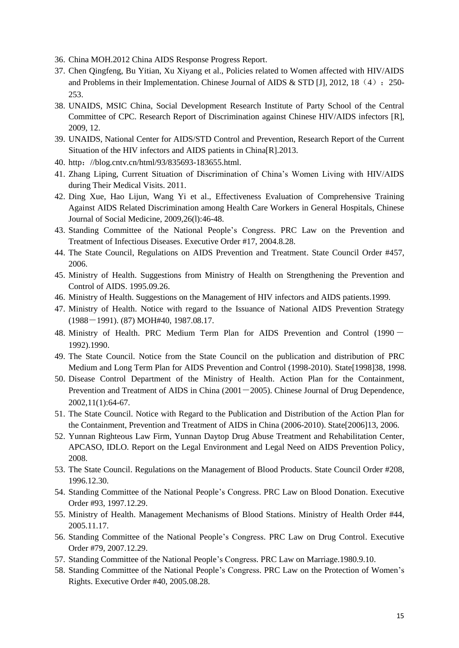- 36. China MOH.2012 China AIDS Response Progress Report.
- 37. Chen Qingfeng, Bu Yitian, Xu Xiyang et al., Policies related to Women affected with HIV/AIDS and Problems in their Implementation. Chinese Journal of AIDS  $&$  STD [J], 2012, 18 (4): 250-253.
- 38. UNAIDS, MSIC China, Social Development Research Institute of Party School of the Central Committee of CPC. Research Report of Discrimination against Chinese HIV/AIDS infectors [R], 2009, 12.
- 39. UNAIDS, National Center for AIDS/STD Control and Prevention, Research Report of the Current Situation of the HIV infectors and AIDS patients in China[R].2013.
- 40. http://blog.cntv.cn/html/93/835693-183655.html.
- 41. Zhang Liping, Current Situation of Discrimination of China's Women Living with HIV/AIDS during Their Medical Visits. 2011.
- 42. Ding Xue, Hao Lijun, Wang Yi et al., Effectiveness Evaluation of Comprehensive Training Against AIDS Related Discrimination among Health Care Workers in General Hospitals, Chinese Journal of Social Medicine, 2009,26(l):46-48.
- 43. Standing Committee of the National People's Congress. PRC Law on the Prevention and Treatment of Infectious Diseases. Executive Order #17, 2004.8.28.
- 44. The State Council, Regulations on AIDS Prevention and Treatment. State Council Order #457, 2006.
- 45. Ministry of Health. Suggestions from Ministry of Health on Strengthening the Prevention and Control of AIDS. 1995.09.26.
- 46. Ministry of Health. Suggestions on the Management of HIV infectors and AIDS patients.1999.
- 47. Ministry of Health. Notice with regard to the Issuance of National AIDS Prevention Strategy (1988-1991). (87) MOH#40, 1987.08.17.
- 48. Ministry of Health. PRC Medium Term Plan for AIDS Prevention and Control (1990 1992).1990.
- 49. The State Council. Notice from the State Council on the publication and distribution of PRC Medium and Long Term Plan for AIDS Prevention and Control (1998-2010). State[1998]38, 1998.
- 50. Disease Control Department of the Ministry of Health. Action Plan for the Containment, Prevention and Treatment of AIDS in China  $(2001-2005)$ . Chinese Journal of Drug Dependence, 2002,11(1):64-67.
- 51. The State Council. Notice with Regard to the Publication and Distribution of the Action Plan for the Containment, Prevention and Treatment of AIDS in China (2006-2010). State[2006]13, 2006.
- 52. Yunnan Righteous Law Firm, Yunnan Daytop Drug Abuse Treatment and Rehabilitation Center, APCASO, IDLO. Report on the Legal Environment and Legal Need on AIDS Prevention Policy, 2008.
- 53. The State Council. Regulations on the Management of Blood Products. State Council Order #208, 1996.12.30.
- 54. Standing Committee of the National People's Congress. PRC Law on Blood Donation. Executive Order #93, 1997.12.29.
- 55. Ministry of Health. Management Mechanisms of Blood Stations. Ministry of Health Order #44, 2005.11.17.
- 56. Standing Committee of the National People's Congress. PRC Law on Drug Control. Executive Order #79, 2007.12.29.
- 57. Standing Committee of the National People's Congress. PRC Law on Marriage.1980.9.10.
- 58. Standing Committee of the National People's Congress. PRC Law on the Protection of Women's Rights. Executive Order #40, 2005.08.28.